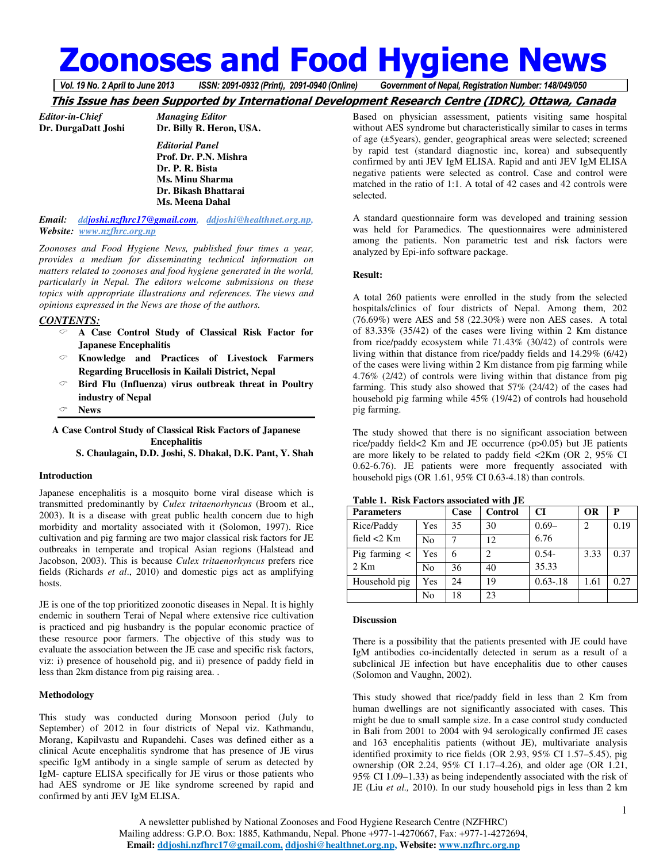# **Zoonoses and Food Hygiene News**

*Vol. 19 No. 2 April to June 2013 ISSN: 2091-0932 (Print), 2091-0940 (Online) Government of Nepal, Registration Number: 148/049/050*

# **This Issue has been Supported by International Development Research Centre (IDRC), Ottawa, Canada**

*Editor-in-Chief Managing Editor* 

**Dr. DurgaDatt Joshi Dr. Billy R. Heron, USA.**   *Editorial Panel*   **Prof. Dr. P.N. Mishra Dr. P. R. Bista Ms. Minu Sharma Dr. Bikash Bhattarai Ms. Meena Dahal** 

*Email: ddjoshi.nzfhrc17@gmail.com, ddjoshi@healthnet.org.np, Website: www.nzfhrc.org.np*

*Zoonoses and Food Hygiene News, published four times a year, provides a medium for disseminating technical information on matters related to zoonoses and food hygiene generated in the world, particularly in Nepal. The editors welcome submissions on these topics with appropriate illustrations and references. The views and opinions expressed in the News are those of the authors.* 

# *CONTENTS:*

- **A Case Control Study of Classical Risk Factor for Japanese Encephalitis**
- **Knowledge and Practices of Livestock Farmers Regarding Brucellosis in Kailali District, Nepal**
- **Bird Flu (Influenza) virus outbreak threat in Poultry industry of Nepal**
- **News**

**A Case Control Study of Classical Risk Factors of Japanese Encephalitis** 

**S. Chaulagain, D.D. Joshi, S. Dhakal, D.K. Pant, Y. Shah** 

#### **Introduction**

Japanese encephalitis is a mosquito borne viral disease which is transmitted predominantly by *Culex tritaenorhyncus* (Broom et al., 2003). It is a disease with great public health concern due to high morbidity and mortality associated with it (Solomon, 1997). Rice cultivation and pig farming are two major classical risk factors for JE outbreaks in temperate and tropical Asian regions (Halstead and Jacobson, 2003). This is because *Culex tritaenorhyncus* prefers rice fields (Richards *et al*., 2010) and domestic pigs act as amplifying hosts.

JE is one of the top prioritized zoonotic diseases in Nepal. It is highly endemic in southern Terai of Nepal where extensive rice cultivation is practiced and pig husbandry is the popular economic practice of these resource poor farmers. The objective of this study was to evaluate the association between the JE case and specific risk factors, viz: i) presence of household pig, and ii) presence of paddy field in less than 2km distance from pig raising area. .

#### **Methodology**

This study was conducted during Monsoon period (July to September) of 2012 in four districts of Nepal viz. Kathmandu, Morang, Kapilvastu and Rupandehi. Cases was defined either as a clinical Acute encephalitis syndrome that has presence of JE virus specific IgM antibody in a single sample of serum as detected by IgM- capture ELISA specifically for JE virus or those patients who had AES syndrome or JE like syndrome screened by rapid and confirmed by anti JEV IgM ELISA.

Based on physician assessment, patients visiting same hospital without AES syndrome but characteristically similar to cases in terms of age (±5years), gender, geographical areas were selected; screened by rapid test (standard diagnostic inc, korea) and subsequently confirmed by anti JEV IgM ELISA. Rapid and anti JEV IgM ELISA negative patients were selected as control. Case and control were matched in the ratio of 1:1. A total of 42 cases and 42 controls were selected.

A standard questionnaire form was developed and training session was held for Paramedics. The questionnaires were administered among the patients. Non parametric test and risk factors were analyzed by Epi-info software package.

#### **Result:**

A total 260 patients were enrolled in the study from the selected hospitals/clinics of four districts of Nepal. Among them, 202 (76.69%) were AES and 58 (22.30%) were non AES cases. A total of 83.33% (35/42) of the cases were living within 2 Km distance from rice/paddy ecosystem while 71.43% (30/42) of controls were living within that distance from rice/paddy fields and 14.29% (6/42) of the cases were living within 2 Km distance from pig farming while 4.76% (2/42) of controls were living within that distance from pig farming. This study also showed that 57% (24/42) of the cases had household pig farming while 45% (19/42) of controls had household pig farming.

The study showed that there is no significant association between rice/paddy field<2 Km and JE occurrence (p>0.05) but JE patients are more likely to be related to paddy field <2Km (OR 2, 95% CI 0.62-6.76). JE patients were more frequently associated with household pigs (OR 1.61, 95% CI 0.63-4.18) than controls.

| <b>Parameters</b> |                | Case | Control        | <b>CI</b>   | <b>OR</b>      | P    |
|-------------------|----------------|------|----------------|-------------|----------------|------|
| Rice/Paddy        | Yes            | 35   | 30             | $0.69 -$    | $\overline{c}$ | 0.19 |
| field $<$ 2 Km    | No             |      | 12             | 6.76        |                |      |
| Pig farming $\lt$ | Yes            | 6    | $\mathfrak{D}$ | $0.54 -$    | 3.33           | 0.37 |
| $2$ Km            | N <sub>0</sub> | 36   | 40             | 35.33       |                |      |
| Household pig     | Yes            | 24   | 19             | $0.63 - 18$ | 1.61           | 0.27 |
|                   | No             | 18   | 23             |             |                |      |

**Table 1. Risk Factors associated with JE** 

#### **Discussion**

There is a possibility that the patients presented with JE could have IgM antibodies co-incidentally detected in serum as a result of a subclinical JE infection but have encephalitis due to other causes (Solomon and Vaughn, 2002).

This study showed that rice/paddy field in less than 2 Km from human dwellings are not significantly associated with cases. This might be due to small sample size. In a case control study conducted in Bali from 2001 to 2004 with 94 serologically confirmed JE cases and 163 encephalitis patients (without JE), multivariate analysis identified proximity to rice fields (OR 2.93, 95% CI 1.57–5.45), pig ownership (OR 2.24, 95% CI 1.17–4.26), and older age (OR 1.21, 95% CI 1.09–1.33) as being independently associated with the risk of JE (Liu *et al.,* 2010). In our study household pigs in less than 2 km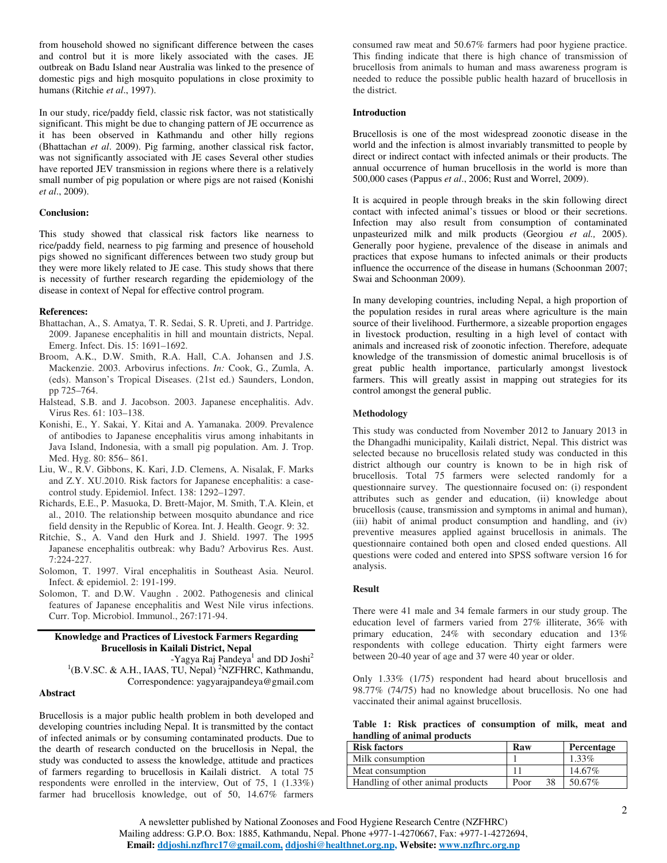from household showed no significant difference between the cases and control but it is more likely associated with the cases. JE outbreak on Badu Island near Australia was linked to the presence of domestic pigs and high mosquito populations in close proximity to humans (Ritchie *et al*., 1997).

In our study, rice/paddy field, classic risk factor, was not statistically significant. This might be due to changing pattern of JE occurrence as it has been observed in Kathmandu and other hilly regions (Bhattachan *et al*. 2009). Pig farming, another classical risk factor, was not significantly associated with JE cases Several other studies have reported JEV transmission in regions where there is a relatively small number of pig population or where pigs are not raised (Konishi *et al*., 2009).

# **Conclusion:**

This study showed that classical risk factors like nearness to rice/paddy field, nearness to pig farming and presence of household pigs showed no significant differences between two study group but they were more likely related to JE case. This study shows that there is necessity of further research regarding the epidemiology of the disease in context of Nepal for effective control program.

#### **References:**

- Bhattachan, A., S. Amatya, T. R. Sedai, S. R. Upreti, and J. Partridge. 2009. Japanese encephalitis in hill and mountain districts, Nepal. Emerg. Infect. Dis. 15: 1691–1692.
- Broom, A.K., D.W. Smith, R.A. Hall, C.A. Johansen and J.S. Mackenzie. 2003. Arbovirus infections. *In:* Cook, G., Zumla, A. (eds). Manson's Tropical Diseases. (21st ed.) Saunders, London, pp 725–764.
- Halstead, S.B. and J. Jacobson. 2003. Japanese encephalitis. Adv. Virus Res. 61: 103–138.
- Konishi, E., Y. Sakai, Y. Kitai and A. Yamanaka. 2009. Prevalence of antibodies to Japanese encephalitis virus among inhabitants in Java Island, Indonesia, with a small pig population. Am. J. Trop. Med. Hyg. 80: 856– 861.
- Liu, W., R.V. Gibbons, K. Kari, J.D. Clemens, A. Nisalak, F. Marks and Z.Y. XU.2010. Risk factors for Japanese encephalitis: a casecontrol study. Epidemiol. Infect. 138: 1292–1297.
- Richards, E.E., P. Masuoka, D. Brett-Major, M. Smith, T.A. Klein, et al., 2010. The relationship between mosquito abundance and rice field density in the Republic of Korea. Int. J. Health. Geogr. 9: 32.
- Ritchie, S., A. Vand den Hurk and J. Shield. 1997. The 1995 Japanese encephalitis outbreak: why Badu? Arbovirus Res. Aust. 7:224-227.
- Solomon, T. 1997. Viral encephalitis in Southeast Asia. Neurol. Infect. & epidemiol. 2: 191-199.
- Solomon, T. and D.W. Vaughn . 2002. Pathogenesis and clinical features of Japanese encephalitis and West Nile virus infections. Curr. Top. Microbiol. Immunol., 267:171-94.

# **Knowledge and Practices of Livestock Farmers Regarding Brucellosis in Kailali District, Nepal**

-Yagya Raj Pandeya<sup>1</sup> and DD Joshi<sup>2</sup> <sup>1</sup>(B.V.SC. & A.H., IAAS, TU, Nepal)<sup>2</sup>NZFHRC, Kathmandu, Correspondence: yagyarajpandeya@gmail.com

# **Abstract**

Brucellosis is a major public health problem in both developed and developing countries including Nepal. It is transmitted by the contact of infected animals or by consuming contaminated products. Due to the dearth of research conducted on the brucellosis in Nepal, the study was conducted to assess the knowledge, attitude and practices of farmers regarding to brucellosis in Kailali district. A total 75 respondents were enrolled in the interview, Out of 75, 1 (1.33%) farmer had brucellosis knowledge, out of 50, 14.67% farmers

consumed raw meat and 50.67% farmers had poor hygiene practice. This finding indicate that there is high chance of transmission of brucellosis from animals to human and mass awareness program is needed to reduce the possible public health hazard of brucellosis in the district.

#### **Introduction**

Brucellosis is one of the most widespread zoonotic disease in the world and the infection is almost invariably transmitted to people by direct or indirect contact with infected animals or their products. The annual occurrence of human brucellosis in the world is more than 500,000 cases (Pappus *et al*., 2006; Rust and Worrel, 2009).

It is acquired in people through breaks in the skin following direct contact with infected animal's tissues or blood or their secretions. Infection may also result from consumption of contaminated unpasteurized milk and milk products (Georgiou *et al.,* 2005). Generally poor hygiene, prevalence of the disease in animals and practices that expose humans to infected animals or their products influence the occurrence of the disease in humans (Schoonman 2007; Swai and Schoonman 2009).

In many developing countries, including Nepal, a high proportion of the population resides in rural areas where agriculture is the main source of their livelihood. Furthermore, a sizeable proportion engages in livestock production, resulting in a high level of contact with animals and increased risk of zoonotic infection. Therefore, adequate knowledge of the transmission of domestic animal brucellosis is of great public health importance, particularly amongst livestock farmers. This will greatly assist in mapping out strategies for its control amongst the general public.

#### **Methodology**

This study was conducted from November 2012 to January 2013 in the Dhangadhi municipality, Kailali district, Nepal. This district was selected because no brucellosis related study was conducted in this district although our country is known to be in high risk of brucellosis. Total 75 farmers were selected randomly for a questionnaire survey. The questionnaire focused on: (i) respondent attributes such as gender and education, (ii) knowledge about brucellosis (cause, transmission and symptoms in animal and human), (iii) habit of animal product consumption and handling, and (iv) preventive measures applied against brucellosis in animals. The questionnaire contained both open and closed ended questions. All questions were coded and entered into SPSS software version 16 for analysis.

#### **Result**

There were 41 male and 34 female farmers in our study group. The education level of farmers varied from 27% illiterate, 36% with primary education, 24% with secondary education and 13% respondents with college education. Thirty eight farmers were between 20-40 year of age and 37 were 40 year or older.

Only 1.33% (1/75) respondent had heard about brucellosis and 98.77% (74/75) had no knowledge about brucellosis. No one had vaccinated their animal against brucellosis.

|                             |  |  |  |  | Table 1: Risk practices of consumption of milk, meat and |  |  |  |  |
|-----------------------------|--|--|--|--|----------------------------------------------------------|--|--|--|--|
| handling of animal products |  |  |  |  |                                                          |  |  |  |  |
|                             |  |  |  |  |                                                          |  |  |  |  |

| <b>Risk factors</b>               | Raw        | Percentage |
|-----------------------------------|------------|------------|
| Milk consumption                  |            | $1.33\%$   |
| Meat consumption                  |            | 14.67%     |
| Handling of other animal products | 38<br>Poor | 50.67%     |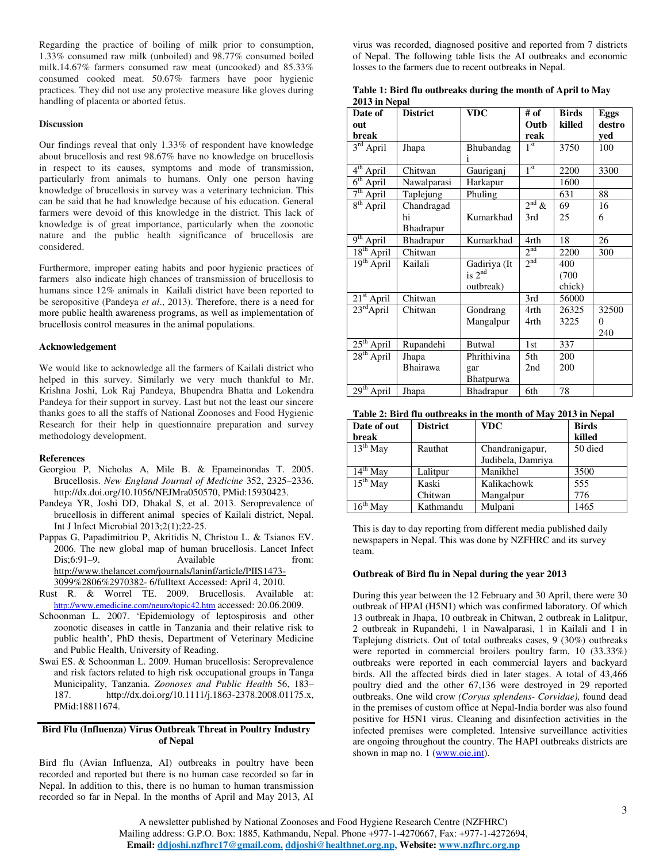Regarding the practice of boiling of milk prior to consumption, 1.33% consumed raw milk (unboiled) and 98.77% consumed boiled milk.14.67% farmers consumed raw meat (uncooked) and 85.33% consumed cooked meat. 50.67% farmers have poor hygienic practices. They did not use any protective measure like gloves during handling of placenta or aborted fetus.

#### **Discussion**

Our findings reveal that only 1.33% of respondent have knowledge about brucellosis and rest 98.67% have no knowledge on brucellosis in respect to its causes, symptoms and mode of transmission, particularly from animals to humans. Only one person having knowledge of brucellosis in survey was a veterinary technician. This can be said that he had knowledge because of his education. General farmers were devoid of this knowledge in the district. This lack of knowledge is of great importance, particularly when the zoonotic nature and the public health significance of brucellosis are considered.

Furthermore, improper eating habits and poor hygienic practices of farmers also indicate high chances of transmission of brucellosis to humans since 12% animals in Kailali district have been reported to be seropositive (Pandeya *et al*., 2013). Therefore, there is a need for more public health awareness programs, as well as implementation of brucellosis control measures in the animal populations.

#### **Acknowledgement**

We would like to acknowledge all the farmers of Kailali district who helped in this survey. Similarly we very much thankful to Mr. Krishna Joshi, Lok Raj Pandeya, Bhupendra Bhatta and Lokendra Pandeya for their support in survey. Last but not the least our sincere thanks goes to all the staffs of National Zoonoses and Food Hygienic Research for their help in questionnaire preparation and survey methodology development.

#### **References**

- Georgiou P, Nicholas A, Mile B. & Epameinondas T. 2005. Brucellosis. *New England Journal of Medicine* 352, 2325–2336. http://dx.doi.org/10.1056/NEJMra050570, PMid:15930423.
- Pandeya YR, Joshi DD, Dhakal S, et al. 2013. Seroprevalence of brucellosis in different animal species of Kailali district, Nepal. Int J Infect Microbial 2013;2(1);22-25.
- Pappas G, Papadimitriou P, Akritidis N, Christou L. & Tsianos EV. 2006. The new global map of human brucellosis. Lancet Infect Dis;6:91–9. Available from: http://www.thelancet.com/journals/laninf/article/PIIS1473- 3099%2806%2970382- 6/fulltext Accessed: April 4, 2010.
- Rust R. & Worrel TE. 2009. Brucellosis. Available at: http://www.emedicine.com/neuro/topic42.htm accessed: 20.06.2009.
- Schoonman L. 2007. 'Epidemiology of leptospirosis and other zoonotic diseases in cattle in Tanzania and their relative risk to public health', PhD thesis, Department of Veterinary Medicine and Public Health, University of Reading.
- Swai ES. & Schoonman L. 2009. Human brucellosis: Seroprevalence and risk factors related to high risk occupational groups in Tanga Municipality, Tanzania. *Zoonoses and Public Health* 56, 183– 187. http://dx.doi.org/10.1111/j.1863-2378.2008.01175.x, PMid:18811674.

#### **Bird Flu (Influenza) Virus Outbreak Threat in Poultry Industry of Nepal**

Bird flu (Avian Influenza, AI) outbreaks in poultry have been recorded and reported but there is no human case recorded so far in Nepal. In addition to this, there is no human to human transmission recorded so far in Nepal. In the months of April and May 2013, AI

virus was recorded, diagnosed positive and reported from 7 districts of Nepal. The following table lists the AI outbreaks and economic losses to the farmers due to recent outbreaks in Nepal.

**Table 1: Bird flu outbreaks during the month of April to May 2013 in Nepal** 

| Date of                  | <b>District</b> | <b>VDC</b>       | # of            | <b>Birds</b> | Eggs   |
|--------------------------|-----------------|------------------|-----------------|--------------|--------|
| out                      |                 |                  | Outb            | killed       | destro |
| break                    |                 |                  | reak            |              | yed    |
| $3rd$ April              | Jhapa           | Bhubandag<br>1   | 1 <sup>st</sup> | 3750         | 100    |
| 4 <sup>th</sup><br>April | Chitwan         | Gauriganj        | 1 <sup>st</sup> | 2200         | 3300   |
| 6 <sup>th</sup><br>April | Nawalparasi     | Harkapur         |                 | 1600         |        |
| $7th$ April              | Taplejung       | Phuling          |                 | 631          | 88     |
| $8th$ April              | Chandragad      |                  | $2^{nd}$ &      | 69           | 16     |
|                          | hi              | Kumarkhad        | 3rd             | 25           | 6      |
|                          | Bhadrapur       |                  |                 |              |        |
| 9 <sup>th</sup><br>April | Bhadrapur       | Kumarkhad        | 4rth            | 18           | 26     |
| $18th$ April             | Chitwan         |                  | 2 <sup>nd</sup> | 2200         | 300    |
| $19th$ April             | Kailali         | Gadiriya (It     | 2 <sub>nd</sub> | 400          |        |
|                          |                 | is $2^{nd}$      |                 | (700)        |        |
|                          |                 | outbreak)        |                 | chick)       |        |
| $21st$ April             | Chitwan         |                  | 3rd             | 56000        |        |
| $23rd$ April             | Chitwan         | Gondrang         | 4rth            | 26325        | 32500  |
|                          |                 | Mangalpur        | 4rth            | 3225         | 0      |
|                          |                 |                  |                 |              | 240    |
| $25th$ April             | Rupandehi       | <b>Butwal</b>    | 1st             | 337          |        |
| $28th$ April             | Jhapa           | Phrithivina      | 5th             | 200          |        |
|                          | Bhairawa        | gar              | 2nd             | 200          |        |
|                          |                 | <b>Bhatpurwa</b> |                 |              |        |
| $29th$ April             | Jhapa           | Bhadrapur        | 6th             | 78           |        |

| Table 2: Bird flu outbreaks in the month of May 2013 in Nepal |  |
|---------------------------------------------------------------|--|
|---------------------------------------------------------------|--|

| Date of out          | <b>District</b> | <b>VDC</b>        | <b>Birds</b> |
|----------------------|-----------------|-------------------|--------------|
| break                |                 |                   | killed       |
| $13th$ May           | Rauthat         | Chandranigapur,   | 50 died      |
|                      |                 | Judibela, Damriya |              |
| $14th$ May           | Lalitpur        | Manikhel          | 3500         |
| $15^{th}$ May        | Kaski           | Kalikachowk       | 555          |
|                      | Chitwan         | Mangalpur         | 776          |
| $16^{\text{th}}$ Mav | Kathmandu       | Mulpani           | 1465         |

This is day to day reporting from different media published daily newspapers in Nepal. This was done by NZFHRC and its survey team.

#### **Outbreak of Bird flu in Nepal during the year 2013**

During this year between the 12 February and 30 April, there were 30 outbreak of HPAI (H5N1) which was confirmed laboratory. Of which 13 outbreak in Jhapa, 10 outbreak in Chitwan, 2 outbreak in Lalitpur, 2 outbreak in Rupandehi, 1 in Nawalparasi, 1 in Kailali and 1 in Taplejung districts. Out of total outbreaks cases, 9 (30%) outbreaks were reported in commercial broilers poultry farm, 10 (33.33%) outbreaks were reported in each commercial layers and backyard birds. All the affected birds died in later stages. A total of 43,466 poultry died and the other 67,136 were destroyed in 29 reported outbreaks. One wild crow *(Coryus splendens- Corvidae),* found dead in the premises of custom office at Nepal-India border was also found positive for H5N1 virus. Cleaning and disinfection activities in the infected premises were completed. Intensive surveillance activities are ongoing throughout the country. The HAPI outbreaks districts are shown in map no. 1 (www.oie.int).